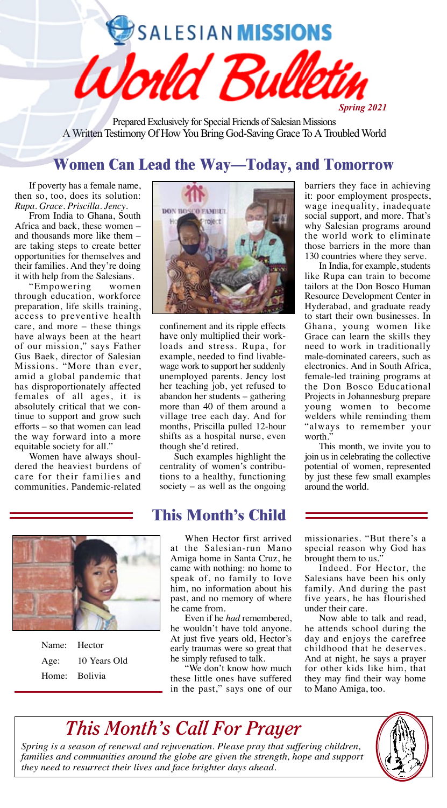SALESIAN MISSIONS

Prepared Exclusively for Special Friends of Salesian Missions A Written Testimony Of How You Bring God-Saving Grace To A Troubled World

World Bul

# **Women Can Lead the Way—Today, and Tomorrow**

If poverty has a female name, then so, too, does its solution: *Rupa*. *Grace*. *Priscilla*. *Jency*.

From India to Ghana, South Africa and back, these women – and thousands more like them – are taking steps to create better opportunities for themselves and their families. And they're doing it with help from the Salesians.

"Empowering women through education, workforce preparation, life skills training, access to preventive health care, and more – these things have always been at the heart of our mission," says Father Gus Baek, director of Salesian Missions. "More than ever, amid a global pandemic that has disproportionately affected females of all ages, it is absolutely critical that we continue to support and grow such efforts – so that women can lead the way forward into a more equitable society for all.

Women have always shouldered the heaviest burdens of care for their families and communities. Pandemic-related



confinement and its ripple effects have only multiplied their workloads and stress. Rupa, for example, needed to find livablewage work to support her suddenly unemployed parents. Jency lost her teaching job, yet refused to abandon her students – gathering more than 40 of them around a village tree each day. And for months, Priscilla pulled 12-hour shifts as a hospital nurse, even though she'd retired.

Such examples highlight the centrality of women's contributions to a healthy, functioning society – as well as the ongoing

# **This Month's Child**

| Name: Hector  |              |
|---------------|--------------|
| Age:          | 10 Years Old |
| Home: Bolivia |              |

When Hector first arrived at the Salesian-run Mano Amiga home in Santa Cruz, he came with nothing: no home to speak of, no family to love him, no information about his past, and no memory of where he came from.

Even if he *had* remembered, he wouldn't have told anyone. At just five years old, Hector's early traumas were so great that he simply refused to talk.

"We don't know how much these little ones have suffered in the past," says one of our

barriers they face in achieving it: poor employment prospects, wage inequality, inadequate social support, and more. That's why Salesian programs around the world work to eliminate those barriers in the more than 130 countries where they serve.

*Spring 2021*

In India, for example, students like Rupa can train to become tailors at the Don Bosco Human Resource Development Center in Hyderabad, and graduate ready to start their own businesses. In Ghana, young women like Grace can learn the skills they need to work in traditionally male-dominated careers, such as electronics. And in South Africa, female-led training programs at the Don Bosco Educational Projects in Johannesburg prepare young women to become welders while reminding them "always to remember your worth.'

This month, we invite you to join us in celebrating the collective potential of women, represented by just these few small examples around the world.

missionaries. "But there's a special reason why God has brought them to us."

Indeed. For Hector, the Salesians have been his only family. And during the past five years, he has flourished under their care.

Now able to talk and read, he attends school during the day and enjoys the carefree childhood that he deserves. And at night, he says a prayer for other kids like him, that they may find their way home to Mano Amiga, too.